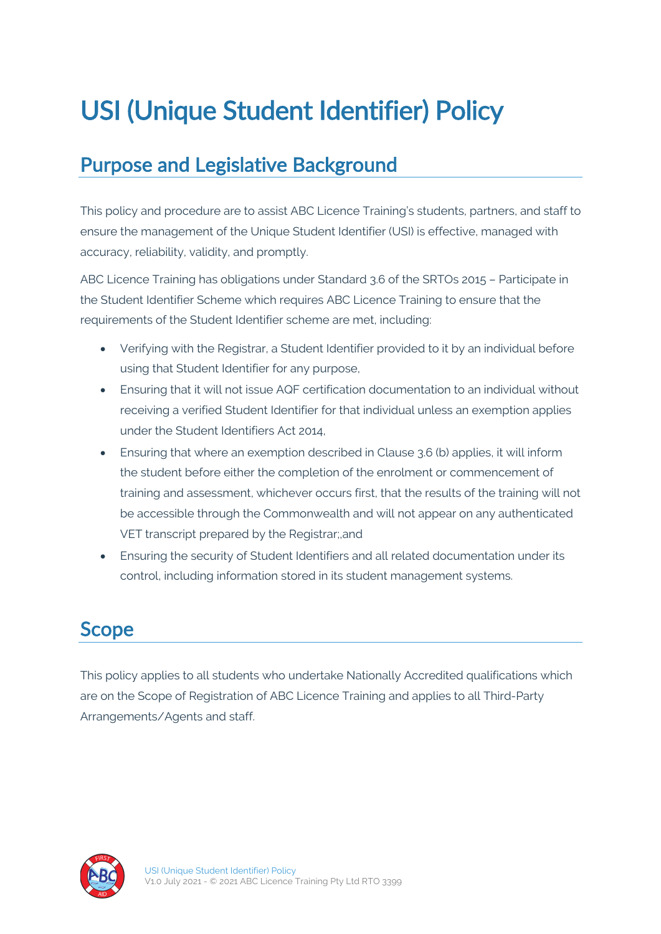# USI (Unique Student Identifier) Policy

# Purpose and Legislative Background

This policy and procedure are to assist ABC Licence Training's students, partners, and staff to ensure the management of the Unique Student Identifier (USI) is effective, managed with accuracy, reliability, validity, and promptly.

ABC Licence Training has obligations under Standard 3.6 of the SRTOs 2015 – Participate in the Student Identifier Scheme which requires ABC Licence Training to ensure that the requirements of the Student Identifier scheme are met, including:

- Verifying with the Registrar, a Student Identifier provided to it by an individual before using that Student Identifier for any purpose,
- Ensuring that it will not issue AQF certification documentation to an individual without receiving a verified Student Identifier for that individual unless an exemption applies under the Student Identifiers Act 2014,
- Ensuring that where an exemption described in Clause 3.6 (b) applies, it will inform the student before either the completion of the enrolment or commencement of training and assessment, whichever occurs first, that the results of the training will not be accessible through the Commonwealth and will not appear on any authenticated VET transcript prepared by the Registrar;,and
- Ensuring the security of Student Identifiers and all related documentation under its control, including information stored in its student management systems.

### Scope

This policy applies to all students who undertake Nationally Accredited qualifications which are on the Scope of Registration of ABC Licence Training and applies to all Third-Party Arrangements/Agents and staff.

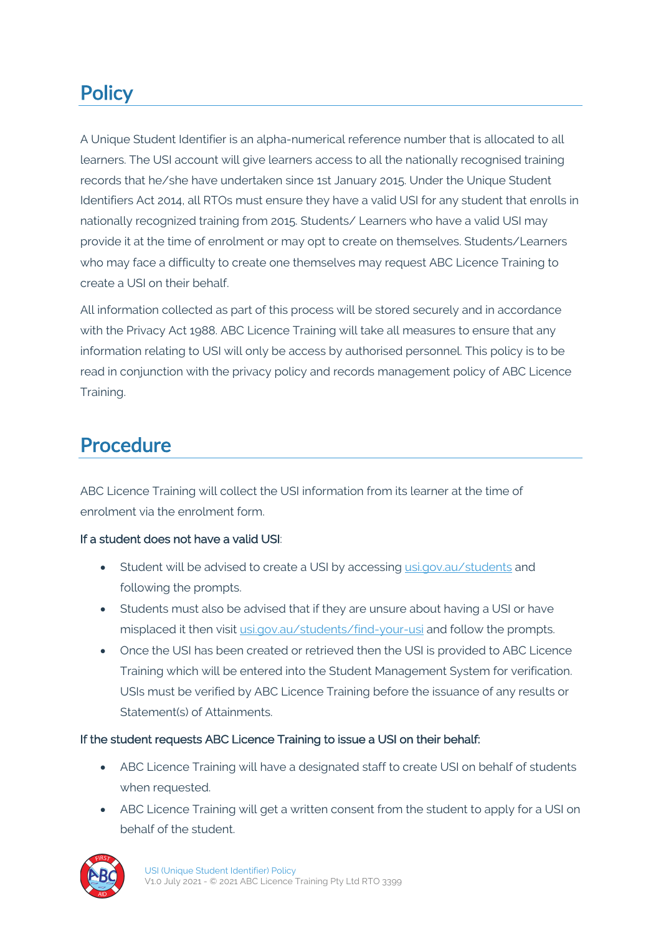# **Policy**

A Unique Student Identifier is an alpha-numerical reference number that is allocated to all learners. The USI account will give learners access to all the nationally recognised training records that he/she have undertaken since 1st January 2015. Under the Unique Student Identifiers Act 2014, all RTOs must ensure they have a valid USI for any student that enrolls in nationally recognized training from 2015. Students/ Learners who have a valid USI may provide it at the time of enrolment or may opt to create on themselves. Students/Learners who may face a difficulty to create one themselves may request ABC Licence Training to create a USI on their behalf.

All information collected as part of this process will be stored securely and in accordance with the Privacy Act 1988. ABC Licence Training will take all measures to ensure that any information relating to USI will only be access by authorised personnel. This policy is to be read in conjunction with the privacy policy and records management policy of ABC Licence Training.

## Procedure

ABC Licence Training will collect the USI information from its learner at the time of enrolment via the enrolment form.

#### If a student does not have a valid USI:

- Student will be advised to create a USI by accessing usi.gov.au/students and following the prompts.
- Students must also be advised that if they are unsure about having a USI or have misplaced it then visit usi.gov.au/students/find-your-usi and follow the prompts.
- Once the USI has been created or retrieved then the USI is provided to ABC Licence Training which will be entered into the Student Management System for verification. USIs must be verified by ABC Licence Training before the issuance of any results or Statement(s) of Attainments.

#### If the student requests ABC Licence Training to issue a USI on their behalf:

- ABC Licence Training will have a designated staff to create USI on behalf of students when requested.
- ABC Licence Training will get a written consent from the student to apply for a USI on behalf of the student.

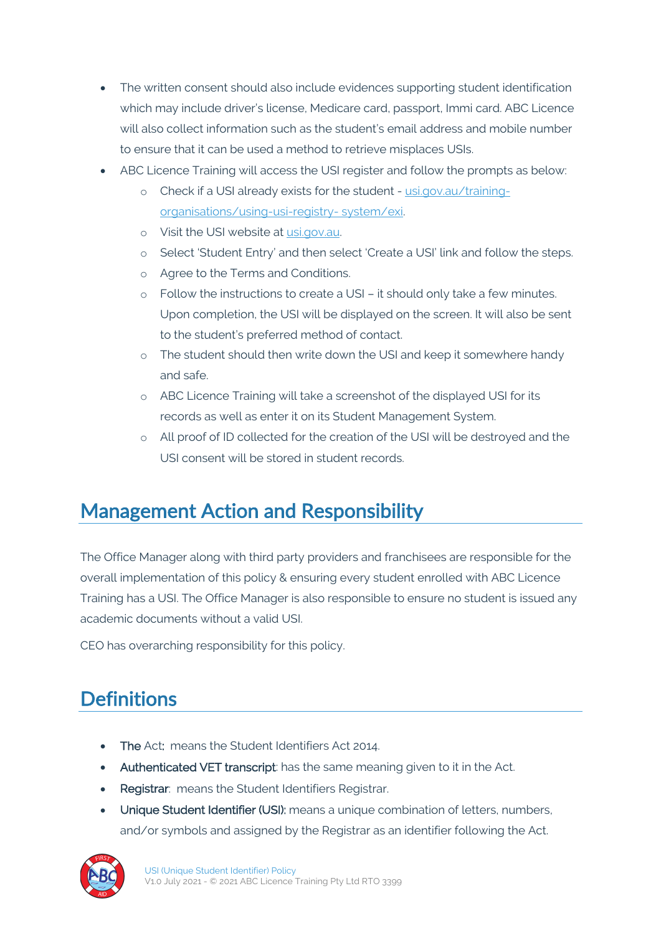- The written consent should also include evidences supporting student identification which may include driver's license, Medicare card, passport, Immi card. ABC Licence will also collect information such as the student's email address and mobile number to ensure that it can be used a method to retrieve misplaces USIs.
- ABC Licence Training will access the USI register and follow the prompts as below:
	- o Check if a USI already exists for the student usi.gov.au/trainingorganisations/using-usi-registry- system/exi.
	- o Visit the USI website at usi.gov.au.
	- o Select 'Student Entry' and then select 'Create a USI' link and follow the steps.
	- o Agree to the Terms and Conditions.
	- o Follow the instructions to create a USI it should only take a few minutes. Upon completion, the USI will be displayed on the screen. It will also be sent to the student's preferred method of contact.
	- o The student should then write down the USI and keep it somewhere handy and safe.
	- o ABC Licence Training will take a screenshot of the displayed USI for its records as well as enter it on its Student Management System.
	- o All proof of ID collected for the creation of the USI will be destroyed and the USI consent will be stored in student records.

# Management Action and Responsibility

The Office Manager along with third party providers and franchisees are responsible for the overall implementation of this policy & ensuring every student enrolled with ABC Licence Training has a USI. The Office Manager is also responsible to ensure no student is issued any academic documents without a valid USI.

CEO has overarching responsibility for this policy.

# **Definitions**

- The Act: means the Student Identifiers Act 2014.
- Authenticated VET transcript: has the same meaning given to it in the Act.
- Registrar: means the Student Identifiers Registrar.
- Unique Student Identifier (USI): means a unique combination of letters, numbers, and/or symbols and assigned by the Registrar as an identifier following the Act.